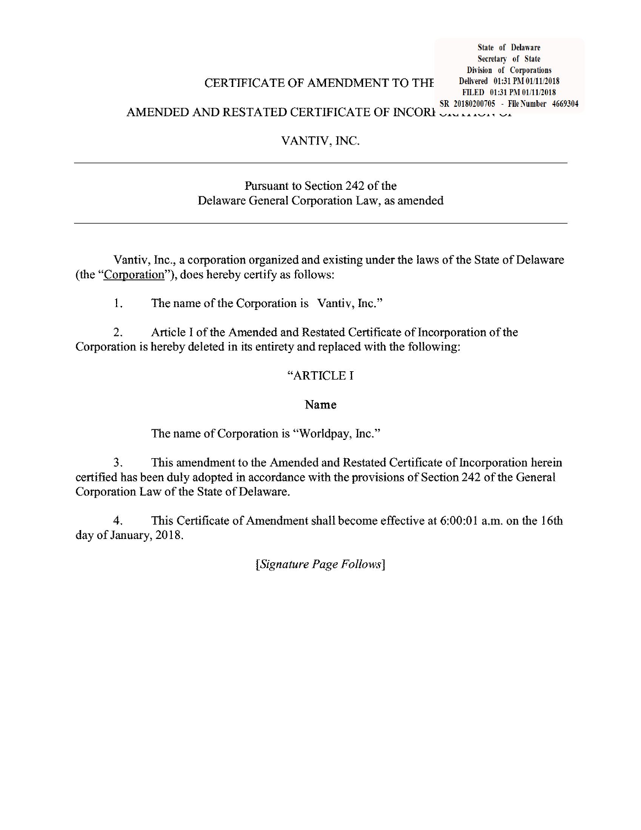## CERTIFICATE OF AMENDMENT TO THE

State of Delaware Secretary of State Division of Corporations Delivered 01:31 PM 01/11/2018 FILED 01:31 PM 01/11/2018 SR 20180200705 - File Number 4669304 AMENDED AND RESTATED CERTIFICATE OF INCORE CONTRACTOR

# VANTIV, INC.

## Pursuant to Section 242 of the Delaware General Corporation Law, as amended

Vantiv, Inc., a corporation organized and existing under the laws of the State of Delaware (the "Corporation"), does hereby certify as follows:

 $1.$ The name of the Corporation is Vantiv, Inc."

 $\overline{2}$ . Article I of the Amended and Restated Certificate of Incorporation of the Corporation is hereby deleted in its entirety and replaced with the following:

## "ARTICLE I

## Name

The name of Corporation is "Worldpay, Inc."

3. This amendment to the Amended and Restated Certificate of Incorporation herein certified has been duly adopted in accordance with the provisions of Section 242 of the General Corporation Law of the State of Delaware.

 $\overline{4}$ . This Certificate of Amendment shall become effective at 6:00:01 a.m. on the 16th day of January, 2018.

[Signature Page Follows]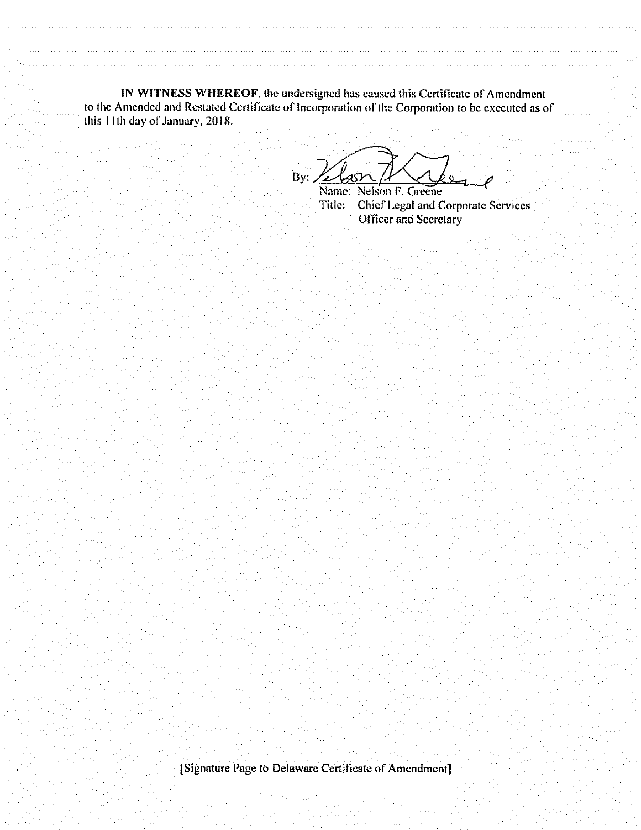IN WITNESS WHEREOF, the undersigned has caused this Certificate of Amendment to the Amended and Restated Certificate of Incorporation of the Corporation to be executed as of this 11th day of January, 2018.

 $By: z$ 

Name: Nelson F. Greene Title: Chief Legal and Corporate Services Officer and Secretary

[Signature Page to Delaware Certificate of Amendment]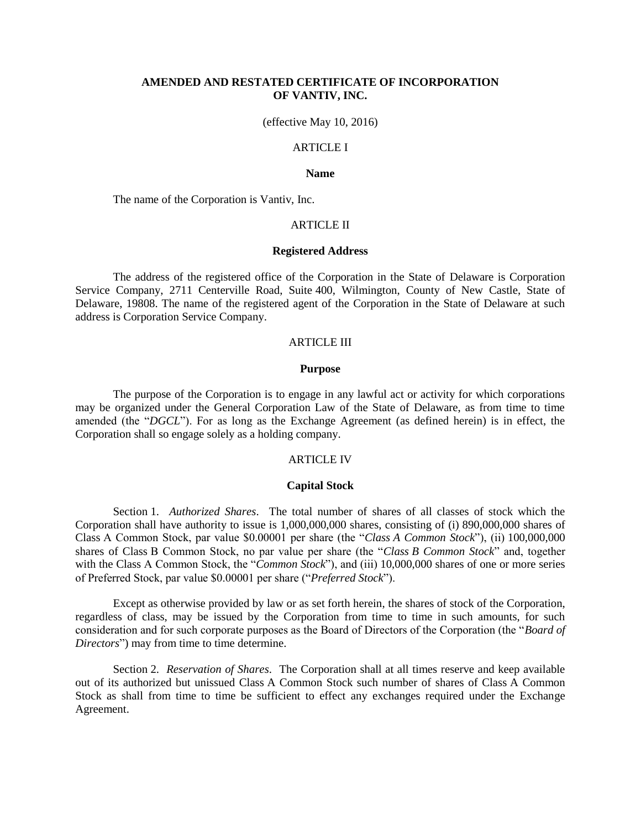## **AMENDED AND RESTATED CERTIFICATE OF INCORPORATION OF VANTIV, INC.**

(effective May 10, 2016)

### ARTICLE I

#### **Name**

The name of the Corporation is Vantiv, Inc.

## ARTICLE II

#### **Registered Address**

The address of the registered office of the Corporation in the State of Delaware is Corporation Service Company, 2711 Centerville Road, Suite 400, Wilmington, County of New Castle, State of Delaware, 19808. The name of the registered agent of the Corporation in the State of Delaware at such address is Corporation Service Company.

#### ARTICLE III

#### **Purpose**

The purpose of the Corporation is to engage in any lawful act or activity for which corporations may be organized under the General Corporation Law of the State of Delaware, as from time to time amended (the "*DGCL*"). For as long as the Exchange Agreement (as defined herein) is in effect, the Corporation shall so engage solely as a holding company.

#### ARTICLE IV

#### **Capital Stock**

Section 1. *Authorized Shares*. The total number of shares of all classes of stock which the Corporation shall have authority to issue is 1,000,000,000 shares, consisting of (i) 890,000,000 shares of Class A Common Stock, par value \$0.00001 per share (the "*Class A Common Stock*"), (ii) 100,000,000 shares of Class B Common Stock, no par value per share (the "*Class B Common Stock*" and, together with the Class A Common Stock, the "*Common Stock*"), and (iii) 10,000,000 shares of one or more series of Preferred Stock, par value \$0.00001 per share ("*Preferred Stock*").

Except as otherwise provided by law or as set forth herein, the shares of stock of the Corporation, regardless of class, may be issued by the Corporation from time to time in such amounts, for such consideration and for such corporate purposes as the Board of Directors of the Corporation (the "*Board of Directors*") may from time to time determine.

Section 2. *Reservation of Shares*. The Corporation shall at all times reserve and keep available out of its authorized but unissued Class A Common Stock such number of shares of Class A Common Stock as shall from time to time be sufficient to effect any exchanges required under the Exchange Agreement.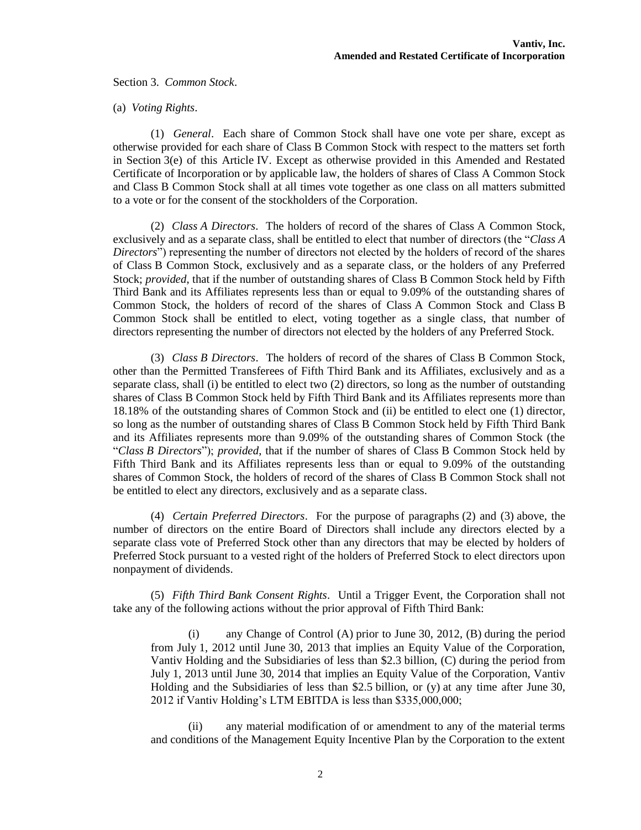Section 3. *Common Stock*.

(a) *Voting Rights*.

(1) *General*. Each share of Common Stock shall have one vote per share, except as otherwise provided for each share of Class B Common Stock with respect to the matters set forth in Section 3(e) of this Article IV. Except as otherwise provided in this Amended and Restated Certificate of Incorporation or by applicable law, the holders of shares of Class A Common Stock and Class B Common Stock shall at all times vote together as one class on all matters submitted to a vote or for the consent of the stockholders of the Corporation.

(2) *Class A Directors*. The holders of record of the shares of Class A Common Stock, exclusively and as a separate class, shall be entitled to elect that number of directors (the "*Class A Directors*") representing the number of directors not elected by the holders of record of the shares of Class B Common Stock, exclusively and as a separate class, or the holders of any Preferred Stock; *provided*, that if the number of outstanding shares of Class B Common Stock held by Fifth Third Bank and its Affiliates represents less than or equal to 9.09% of the outstanding shares of Common Stock, the holders of record of the shares of Class A Common Stock and Class B Common Stock shall be entitled to elect, voting together as a single class, that number of directors representing the number of directors not elected by the holders of any Preferred Stock.

(3) *Class B Directors*. The holders of record of the shares of Class B Common Stock, other than the Permitted Transferees of Fifth Third Bank and its Affiliates, exclusively and as a separate class, shall (i) be entitled to elect two (2) directors, so long as the number of outstanding shares of Class B Common Stock held by Fifth Third Bank and its Affiliates represents more than 18.18% of the outstanding shares of Common Stock and (ii) be entitled to elect one (1) director, so long as the number of outstanding shares of Class B Common Stock held by Fifth Third Bank and its Affiliates represents more than 9.09% of the outstanding shares of Common Stock (the "*Class B Directors*"); *provided*, that if the number of shares of Class B Common Stock held by Fifth Third Bank and its Affiliates represents less than or equal to 9.09% of the outstanding shares of Common Stock, the holders of record of the shares of Class B Common Stock shall not be entitled to elect any directors, exclusively and as a separate class.

(4) *Certain Preferred Directors*. For the purpose of paragraphs (2) and (3) above, the number of directors on the entire Board of Directors shall include any directors elected by a separate class vote of Preferred Stock other than any directors that may be elected by holders of Preferred Stock pursuant to a vested right of the holders of Preferred Stock to elect directors upon nonpayment of dividends.

(5) *Fifth Third Bank Consent Rights*. Until a Trigger Event, the Corporation shall not take any of the following actions without the prior approval of Fifth Third Bank:

(i) any Change of Control (A) prior to June 30, 2012, (B) during the period from July 1, 2012 until June 30, 2013 that implies an Equity Value of the Corporation, Vantiv Holding and the Subsidiaries of less than \$2.3 billion, (C) during the period from July 1, 2013 until June 30, 2014 that implies an Equity Value of the Corporation, Vantiv Holding and the Subsidiaries of less than \$2.5 billion, or (y) at any time after June 30, 2012 if Vantiv Holding's LTM EBITDA is less than \$335,000,000;

(ii) any material modification of or amendment to any of the material terms and conditions of the Management Equity Incentive Plan by the Corporation to the extent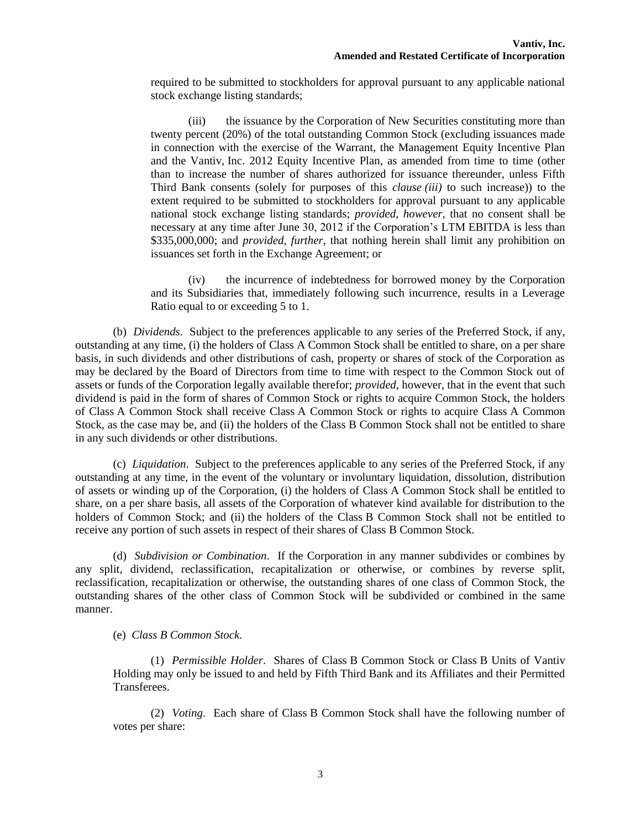required to be submitted to stockholders for approval pursuant to any applicable national stock exchange listing standards;

(iii) the issuance by the Corporation of New Securities constituting more than twenty percent (20%) of the total outstanding Common Stock (excluding issuances made in connection with the exercise of the Warrant, the Management Equity Incentive Plan and the Vantiv, Inc. 2012 Equity Incentive Plan, as amended from time to time (other than to increase the number of shares authorized for issuance thereunder, unless Fifth Third Bank consents (solely for purposes of this *clause (iii)* to such increase)) to the extent required to be submitted to stockholders for approval pursuant to any applicable national stock exchange listing standards; *provided*, *however*, that no consent shall be necessary at any time after June 30, 2012 if the Corporation's LTM EBITDA is less than \$335,000,000; and *provided*, *further*, that nothing herein shall limit any prohibition on issuances set forth in the Exchange Agreement; or

(iv) the incurrence of indebtedness for borrowed money by the Corporation and its Subsidiaries that, immediately following such incurrence, results in a Leverage Ratio equal to or exceeding 5 to 1.

(b) *Dividends*. Subject to the preferences applicable to any series of the Preferred Stock, if any, outstanding at any time, (i) the holders of Class A Common Stock shall be entitled to share, on a per share basis, in such dividends and other distributions of cash, property or shares of stock of the Corporation as may be declared by the Board of Directors from time to time with respect to the Common Stock out of assets or funds of the Corporation legally available therefor; *provided*, however, that in the event that such dividend is paid in the form of shares of Common Stock or rights to acquire Common Stock, the holders of Class A Common Stock shall receive Class A Common Stock or rights to acquire Class A Common Stock, as the case may be, and (ii) the holders of the Class B Common Stock shall not be entitled to share in any such dividends or other distributions.

(c) *Liquidation*. Subject to the preferences applicable to any series of the Preferred Stock, if any outstanding at any time, in the event of the voluntary or involuntary liquidation, dissolution, distribution of assets or winding up of the Corporation, (i) the holders of Class A Common Stock shall be entitled to share, on a per share basis, all assets of the Corporation of whatever kind available for distribution to the holders of Common Stock; and (ii) the holders of the Class B Common Stock shall not be entitled to receive any portion of such assets in respect of their shares of Class B Common Stock.

(d) *Subdivision or Combination*. If the Corporation in any manner subdivides or combines by any split, dividend, reclassification, recapitalization or otherwise, or combines by reverse split, reclassification, recapitalization or otherwise, the outstanding shares of one class of Common Stock, the outstanding shares of the other class of Common Stock will be subdivided or combined in the same manner.

(e) *Class B Common Stock*.

(1) *Permissible Holder*. Shares of Class B Common Stock or Class B Units of Vantiv Holding may only be issued to and held by Fifth Third Bank and its Affiliates and their Permitted Transferees.

(2) *Voting*. Each share of Class B Common Stock shall have the following number of votes per share: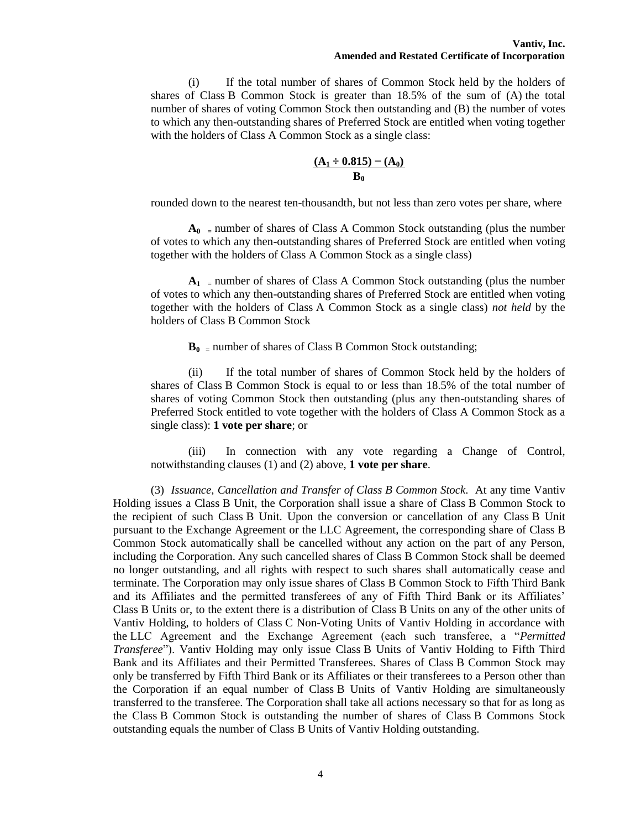(i) If the total number of shares of Common Stock held by the holders of shares of Class B Common Stock is greater than 18.5% of the sum of (A) the total number of shares of voting Common Stock then outstanding and (B) the number of votes to which any then-outstanding shares of Preferred Stock are entitled when voting together with the holders of Class A Common Stock as a single class:

$$
\frac{(A_1 \div 0.815) - (A_0)}{B_0}
$$

rounded down to the nearest ten-thousandth, but not less than zero votes per share, where

 $A_0$  = number of shares of Class A Common Stock outstanding (plus the number of votes to which any then-outstanding shares of Preferred Stock are entitled when voting together with the holders of Class A Common Stock as a single class)

 $A_1$  = number of shares of Class A Common Stock outstanding (plus the number of votes to which any then-outstanding shares of Preferred Stock are entitled when voting together with the holders of Class A Common Stock as a single class) *not held* by the holders of Class B Common Stock

 $\mathbf{B}_0$  = number of shares of Class B Common Stock outstanding;

(ii) If the total number of shares of Common Stock held by the holders of shares of Class B Common Stock is equal to or less than 18.5% of the total number of shares of voting Common Stock then outstanding (plus any then-outstanding shares of Preferred Stock entitled to vote together with the holders of Class A Common Stock as a single class): **1 vote per share**; or

(iii) In connection with any vote regarding a Change of Control, notwithstanding clauses (1) and (2) above, **1 vote per share**.

(3) *Issuance, Cancellation and Transfer of Class B Common Stock*. At any time Vantiv Holding issues a Class B Unit, the Corporation shall issue a share of Class B Common Stock to the recipient of such Class B Unit. Upon the conversion or cancellation of any Class B Unit pursuant to the Exchange Agreement or the LLC Agreement, the corresponding share of Class B Common Stock automatically shall be cancelled without any action on the part of any Person, including the Corporation. Any such cancelled shares of Class B Common Stock shall be deemed no longer outstanding, and all rights with respect to such shares shall automatically cease and terminate. The Corporation may only issue shares of Class B Common Stock to Fifth Third Bank and its Affiliates and the permitted transferees of any of Fifth Third Bank or its Affiliates' Class B Units or, to the extent there is a distribution of Class B Units on any of the other units of Vantiv Holding, to holders of Class C Non-Voting Units of Vantiv Holding in accordance with the LLC Agreement and the Exchange Agreement (each such transferee, a "*Permitted Transferee*"). Vantiv Holding may only issue Class B Units of Vantiv Holding to Fifth Third Bank and its Affiliates and their Permitted Transferees. Shares of Class B Common Stock may only be transferred by Fifth Third Bank or its Affiliates or their transferees to a Person other than the Corporation if an equal number of Class B Units of Vantiv Holding are simultaneously transferred to the transferee. The Corporation shall take all actions necessary so that for as long as the Class B Common Stock is outstanding the number of shares of Class B Commons Stock outstanding equals the number of Class B Units of Vantiv Holding outstanding.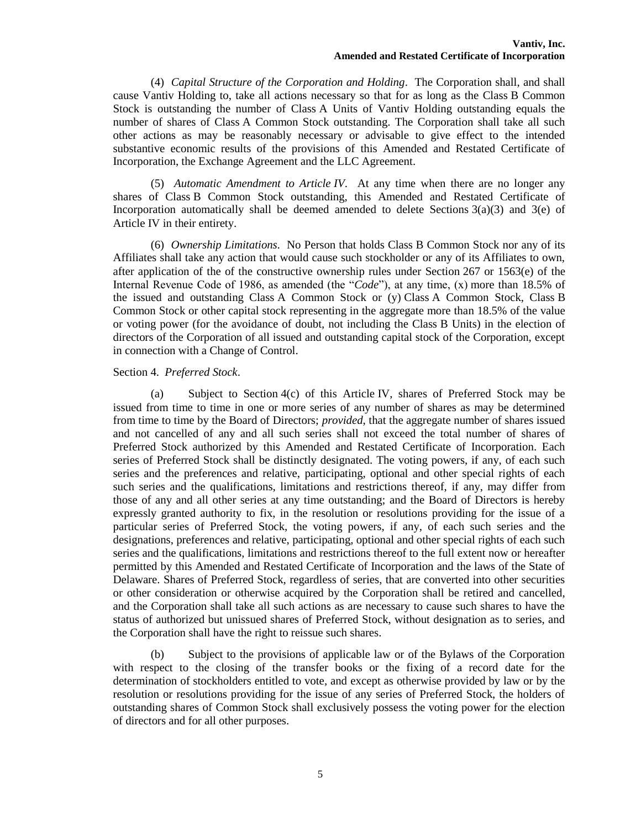(4) *Capital Structure of the Corporation and Holding*. The Corporation shall, and shall cause Vantiv Holding to, take all actions necessary so that for as long as the Class B Common Stock is outstanding the number of Class A Units of Vantiv Holding outstanding equals the number of shares of Class A Common Stock outstanding. The Corporation shall take all such other actions as may be reasonably necessary or advisable to give effect to the intended substantive economic results of the provisions of this Amended and Restated Certificate of Incorporation, the Exchange Agreement and the LLC Agreement.

(5) *Automatic Amendment to Article IV*. At any time when there are no longer any shares of Class B Common Stock outstanding, this Amended and Restated Certificate of Incorporation automatically shall be deemed amended to delete Sections  $3(a)(3)$  and  $3(e)$  of Article IV in their entirety.

(6) *Ownership Limitations*. No Person that holds Class B Common Stock nor any of its Affiliates shall take any action that would cause such stockholder or any of its Affiliates to own, after application of the of the constructive ownership rules under Section 267 or 1563(e) of the Internal Revenue Code of 1986, as amended (the "*Code*"), at any time, (x) more than 18.5% of the issued and outstanding Class A Common Stock or (y) Class A Common Stock, Class B Common Stock or other capital stock representing in the aggregate more than 18.5% of the value or voting power (for the avoidance of doubt, not including the Class B Units) in the election of directors of the Corporation of all issued and outstanding capital stock of the Corporation, except in connection with a Change of Control.

#### Section 4. *Preferred Stock*.

(a) Subject to Section 4(c) of this Article IV, shares of Preferred Stock may be issued from time to time in one or more series of any number of shares as may be determined from time to time by the Board of Directors; *provided*, that the aggregate number of shares issued and not cancelled of any and all such series shall not exceed the total number of shares of Preferred Stock authorized by this Amended and Restated Certificate of Incorporation. Each series of Preferred Stock shall be distinctly designated. The voting powers, if any, of each such series and the preferences and relative, participating, optional and other special rights of each such series and the qualifications, limitations and restrictions thereof, if any, may differ from those of any and all other series at any time outstanding; and the Board of Directors is hereby expressly granted authority to fix, in the resolution or resolutions providing for the issue of a particular series of Preferred Stock, the voting powers, if any, of each such series and the designations, preferences and relative, participating, optional and other special rights of each such series and the qualifications, limitations and restrictions thereof to the full extent now or hereafter permitted by this Amended and Restated Certificate of Incorporation and the laws of the State of Delaware. Shares of Preferred Stock, regardless of series, that are converted into other securities or other consideration or otherwise acquired by the Corporation shall be retired and cancelled, and the Corporation shall take all such actions as are necessary to cause such shares to have the status of authorized but unissued shares of Preferred Stock, without designation as to series, and the Corporation shall have the right to reissue such shares.

(b) Subject to the provisions of applicable law or of the Bylaws of the Corporation with respect to the closing of the transfer books or the fixing of a record date for the determination of stockholders entitled to vote, and except as otherwise provided by law or by the resolution or resolutions providing for the issue of any series of Preferred Stock, the holders of outstanding shares of Common Stock shall exclusively possess the voting power for the election of directors and for all other purposes.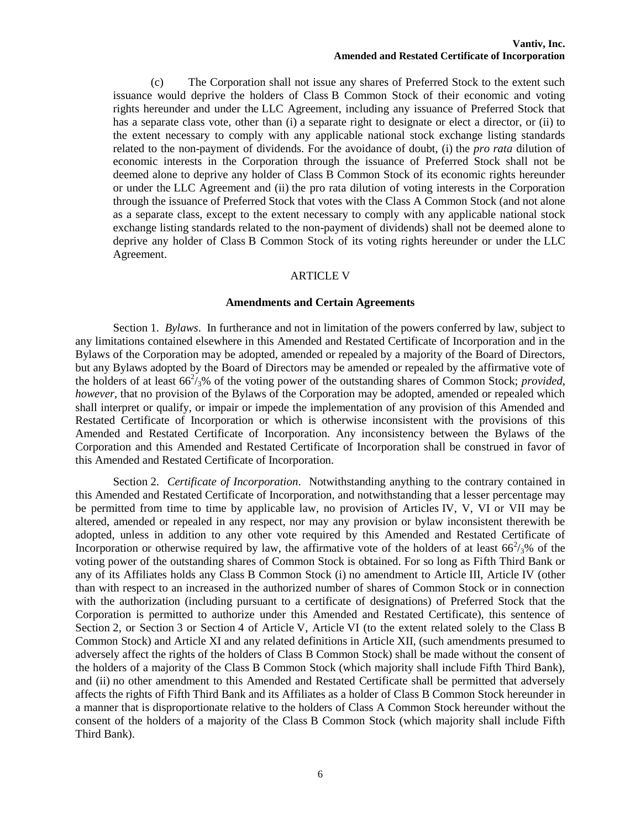(c) The Corporation shall not issue any shares of Preferred Stock to the extent such issuance would deprive the holders of Class B Common Stock of their economic and voting rights hereunder and under the LLC Agreement, including any issuance of Preferred Stock that has a separate class vote, other than (i) a separate right to designate or elect a director, or (ii) to the extent necessary to comply with any applicable national stock exchange listing standards related to the non-payment of dividends. For the avoidance of doubt, (i) the *pro rata* dilution of economic interests in the Corporation through the issuance of Preferred Stock shall not be deemed alone to deprive any holder of Class B Common Stock of its economic rights hereunder or under the LLC Agreement and (ii) the pro rata dilution of voting interests in the Corporation through the issuance of Preferred Stock that votes with the Class A Common Stock (and not alone as a separate class, except to the extent necessary to comply with any applicable national stock exchange listing standards related to the non-payment of dividends) shall not be deemed alone to deprive any holder of Class B Common Stock of its voting rights hereunder or under the LLC Agreement.

#### ARTICLE V

#### **Amendments and Certain Agreements**

Section 1. *Bylaws*. In furtherance and not in limitation of the powers conferred by law, subject to any limitations contained elsewhere in this Amended and Restated Certificate of Incorporation and in the Bylaws of the Corporation may be adopted, amended or repealed by a majority of the Board of Directors, but any Bylaws adopted by the Board of Directors may be amended or repealed by the affirmative vote of the holders of at least  $66^2/3\%$  of the voting power of the outstanding shares of Common Stock; *provided*, *however*, that no provision of the Bylaws of the Corporation may be adopted, amended or repealed which shall interpret or qualify, or impair or impede the implementation of any provision of this Amended and Restated Certificate of Incorporation or which is otherwise inconsistent with the provisions of this Amended and Restated Certificate of Incorporation. Any inconsistency between the Bylaws of the Corporation and this Amended and Restated Certificate of Incorporation shall be construed in favor of this Amended and Restated Certificate of Incorporation.

Section 2. *Certificate of Incorporation*. Notwithstanding anything to the contrary contained in this Amended and Restated Certificate of Incorporation, and notwithstanding that a lesser percentage may be permitted from time to time by applicable law, no provision of Articles IV, V, VI or VII may be altered, amended or repealed in any respect, nor may any provision or bylaw inconsistent therewith be adopted, unless in addition to any other vote required by this Amended and Restated Certificate of Incorporation or otherwise required by law, the affirmative vote of the holders of at least  $66^2/3\%$  of the voting power of the outstanding shares of Common Stock is obtained. For so long as Fifth Third Bank or any of its Affiliates holds any Class B Common Stock (i) no amendment to Article III, Article IV (other than with respect to an increased in the authorized number of shares of Common Stock or in connection with the authorization (including pursuant to a certificate of designations) of Preferred Stock that the Corporation is permitted to authorize under this Amended and Restated Certificate), this sentence of Section 2, or Section 3 or Section 4 of Article V, Article VI (to the extent related solely to the Class B Common Stock) and Article XI and any related definitions in Article XII, (such amendments presumed to adversely affect the rights of the holders of Class B Common Stock) shall be made without the consent of the holders of a majority of the Class B Common Stock (which majority shall include Fifth Third Bank), and (ii) no other amendment to this Amended and Restated Certificate shall be permitted that adversely affects the rights of Fifth Third Bank and its Affiliates as a holder of Class B Common Stock hereunder in a manner that is disproportionate relative to the holders of Class A Common Stock hereunder without the consent of the holders of a majority of the Class B Common Stock (which majority shall include Fifth Third Bank).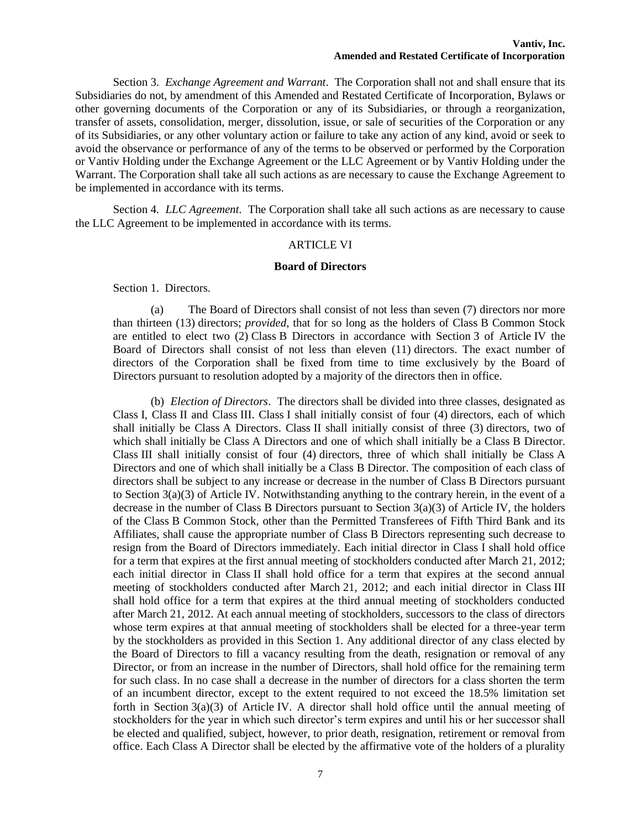Section 3. *Exchange Agreement and Warrant*. The Corporation shall not and shall ensure that its Subsidiaries do not, by amendment of this Amended and Restated Certificate of Incorporation, Bylaws or other governing documents of the Corporation or any of its Subsidiaries, or through a reorganization, transfer of assets, consolidation, merger, dissolution, issue, or sale of securities of the Corporation or any of its Subsidiaries, or any other voluntary action or failure to take any action of any kind, avoid or seek to avoid the observance or performance of any of the terms to be observed or performed by the Corporation or Vantiv Holding under the Exchange Agreement or the LLC Agreement or by Vantiv Holding under the Warrant. The Corporation shall take all such actions as are necessary to cause the Exchange Agreement to be implemented in accordance with its terms.

Section 4. *LLC Agreement*. The Corporation shall take all such actions as are necessary to cause the LLC Agreement to be implemented in accordance with its terms.

## ARTICLE VI

#### **Board of Directors**

Section 1.Directors.

(a) The Board of Directors shall consist of not less than seven (7) directors nor more than thirteen (13) directors; *provided*, that for so long as the holders of Class B Common Stock are entitled to elect two (2) Class B Directors in accordance with Section 3 of Article IV the Board of Directors shall consist of not less than eleven (11) directors. The exact number of directors of the Corporation shall be fixed from time to time exclusively by the Board of Directors pursuant to resolution adopted by a majority of the directors then in office.

(b) *Election of Directors*. The directors shall be divided into three classes, designated as Class I, Class II and Class III. Class I shall initially consist of four (4) directors, each of which shall initially be Class A Directors. Class II shall initially consist of three (3) directors, two of which shall initially be Class A Directors and one of which shall initially be a Class B Director. Class III shall initially consist of four (4) directors, three of which shall initially be Class A Directors and one of which shall initially be a Class B Director. The composition of each class of directors shall be subject to any increase or decrease in the number of Class B Directors pursuant to Section  $3(a)(3)$  of Article IV. Notwithstanding anything to the contrary herein, in the event of a decrease in the number of Class B Directors pursuant to Section  $3(a)(3)$  of Article IV, the holders of the Class B Common Stock, other than the Permitted Transferees of Fifth Third Bank and its Affiliates, shall cause the appropriate number of Class B Directors representing such decrease to resign from the Board of Directors immediately. Each initial director in Class I shall hold office for a term that expires at the first annual meeting of stockholders conducted after March 21, 2012; each initial director in Class II shall hold office for a term that expires at the second annual meeting of stockholders conducted after March 21, 2012; and each initial director in Class III shall hold office for a term that expires at the third annual meeting of stockholders conducted after March 21, 2012. At each annual meeting of stockholders, successors to the class of directors whose term expires at that annual meeting of stockholders shall be elected for a three-year term by the stockholders as provided in this Section 1. Any additional director of any class elected by the Board of Directors to fill a vacancy resulting from the death, resignation or removal of any Director, or from an increase in the number of Directors, shall hold office for the remaining term for such class. In no case shall a decrease in the number of directors for a class shorten the term of an incumbent director, except to the extent required to not exceed the 18.5% limitation set forth in Section 3(a)(3) of Article IV. A director shall hold office until the annual meeting of stockholders for the year in which such director's term expires and until his or her successor shall be elected and qualified, subject, however, to prior death, resignation, retirement or removal from office. Each Class A Director shall be elected by the affirmative vote of the holders of a plurality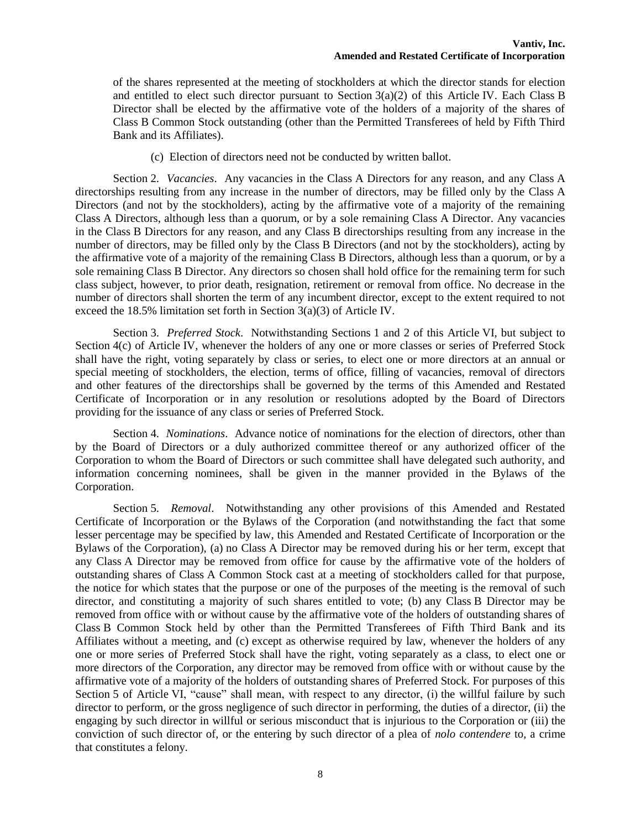of the shares represented at the meeting of stockholders at which the director stands for election and entitled to elect such director pursuant to Section 3(a)(2) of this Article IV. Each Class B Director shall be elected by the affirmative vote of the holders of a majority of the shares of Class B Common Stock outstanding (other than the Permitted Transferees of held by Fifth Third Bank and its Affiliates).

(c)Election of directors need not be conducted by written ballot.

Section 2. *Vacancies*. Any vacancies in the Class A Directors for any reason, and any Class A directorships resulting from any increase in the number of directors, may be filled only by the Class A Directors (and not by the stockholders), acting by the affirmative vote of a majority of the remaining Class A Directors, although less than a quorum, or by a sole remaining Class A Director. Any vacancies in the Class B Directors for any reason, and any Class B directorships resulting from any increase in the number of directors, may be filled only by the Class B Directors (and not by the stockholders), acting by the affirmative vote of a majority of the remaining Class B Directors, although less than a quorum, or by a sole remaining Class B Director. Any directors so chosen shall hold office for the remaining term for such class subject, however, to prior death, resignation, retirement or removal from office. No decrease in the number of directors shall shorten the term of any incumbent director, except to the extent required to not exceed the 18.5% limitation set forth in Section 3(a)(3) of Article IV.

Section 3. *Preferred Stock*. Notwithstanding Sections 1 and 2 of this Article VI, but subject to Section 4(c) of Article IV, whenever the holders of any one or more classes or series of Preferred Stock shall have the right, voting separately by class or series, to elect one or more directors at an annual or special meeting of stockholders, the election, terms of office, filling of vacancies, removal of directors and other features of the directorships shall be governed by the terms of this Amended and Restated Certificate of Incorporation or in any resolution or resolutions adopted by the Board of Directors providing for the issuance of any class or series of Preferred Stock.

Section 4. *Nominations*. Advance notice of nominations for the election of directors, other than by the Board of Directors or a duly authorized committee thereof or any authorized officer of the Corporation to whom the Board of Directors or such committee shall have delegated such authority, and information concerning nominees, shall be given in the manner provided in the Bylaws of the Corporation.

Section 5. *Removal*. Notwithstanding any other provisions of this Amended and Restated Certificate of Incorporation or the Bylaws of the Corporation (and notwithstanding the fact that some lesser percentage may be specified by law, this Amended and Restated Certificate of Incorporation or the Bylaws of the Corporation), (a) no Class A Director may be removed during his or her term, except that any Class A Director may be removed from office for cause by the affirmative vote of the holders of outstanding shares of Class A Common Stock cast at a meeting of stockholders called for that purpose, the notice for which states that the purpose or one of the purposes of the meeting is the removal of such director, and constituting a majority of such shares entitled to vote; (b) any Class B Director may be removed from office with or without cause by the affirmative vote of the holders of outstanding shares of Class B Common Stock held by other than the Permitted Transferees of Fifth Third Bank and its Affiliates without a meeting, and (c) except as otherwise required by law, whenever the holders of any one or more series of Preferred Stock shall have the right, voting separately as a class, to elect one or more directors of the Corporation, any director may be removed from office with or without cause by the affirmative vote of a majority of the holders of outstanding shares of Preferred Stock. For purposes of this Section 5 of Article VI, "cause" shall mean, with respect to any director, (i) the willful failure by such director to perform, or the gross negligence of such director in performing, the duties of a director, (ii) the engaging by such director in willful or serious misconduct that is injurious to the Corporation or (iii) the conviction of such director of, or the entering by such director of a plea of *nolo contendere* to, a crime that constitutes a felony.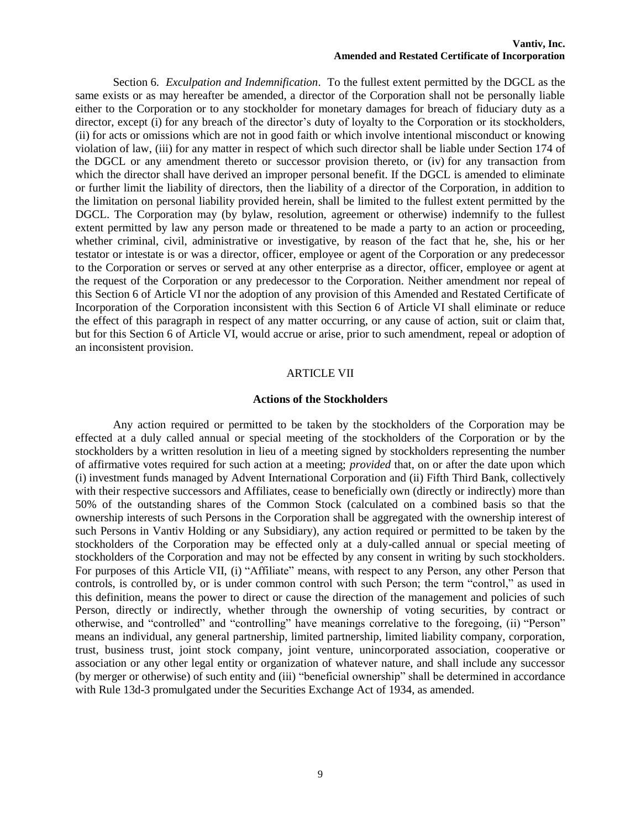#### **Vantiv, Inc. Amended and Restated Certificate of Incorporation**

Section 6. *Exculpation and Indemnification*. To the fullest extent permitted by the DGCL as the same exists or as may hereafter be amended, a director of the Corporation shall not be personally liable either to the Corporation or to any stockholder for monetary damages for breach of fiduciary duty as a director, except (i) for any breach of the director's duty of loyalty to the Corporation or its stockholders, (ii) for acts or omissions which are not in good faith or which involve intentional misconduct or knowing violation of law, (iii) for any matter in respect of which such director shall be liable under Section 174 of the DGCL or any amendment thereto or successor provision thereto, or (iv) for any transaction from which the director shall have derived an improper personal benefit. If the DGCL is amended to eliminate or further limit the liability of directors, then the liability of a director of the Corporation, in addition to the limitation on personal liability provided herein, shall be limited to the fullest extent permitted by the DGCL. The Corporation may (by bylaw, resolution, agreement or otherwise) indemnify to the fullest extent permitted by law any person made or threatened to be made a party to an action or proceeding, whether criminal, civil, administrative or investigative, by reason of the fact that he, she, his or her testator or intestate is or was a director, officer, employee or agent of the Corporation or any predecessor to the Corporation or serves or served at any other enterprise as a director, officer, employee or agent at the request of the Corporation or any predecessor to the Corporation. Neither amendment nor repeal of this Section 6 of Article VI nor the adoption of any provision of this Amended and Restated Certificate of Incorporation of the Corporation inconsistent with this Section 6 of Article VI shall eliminate or reduce the effect of this paragraph in respect of any matter occurring, or any cause of action, suit or claim that, but for this Section 6 of Article VI, would accrue or arise, prior to such amendment, repeal or adoption of an inconsistent provision.

#### ARTICLE VII

## **Actions of the Stockholders**

Any action required or permitted to be taken by the stockholders of the Corporation may be effected at a duly called annual or special meeting of the stockholders of the Corporation or by the stockholders by a written resolution in lieu of a meeting signed by stockholders representing the number of affirmative votes required for such action at a meeting; *provided* that, on or after the date upon which (i) investment funds managed by Advent International Corporation and (ii) Fifth Third Bank, collectively with their respective successors and Affiliates, cease to beneficially own (directly or indirectly) more than 50% of the outstanding shares of the Common Stock (calculated on a combined basis so that the ownership interests of such Persons in the Corporation shall be aggregated with the ownership interest of such Persons in Vantiv Holding or any Subsidiary), any action required or permitted to be taken by the stockholders of the Corporation may be effected only at a duly-called annual or special meeting of stockholders of the Corporation and may not be effected by any consent in writing by such stockholders. For purposes of this Article VII, (i) "Affiliate" means, with respect to any Person, any other Person that controls, is controlled by, or is under common control with such Person; the term "control," as used in this definition, means the power to direct or cause the direction of the management and policies of such Person, directly or indirectly, whether through the ownership of voting securities, by contract or otherwise, and "controlled" and "controlling" have meanings correlative to the foregoing, (ii) "Person" means an individual, any general partnership, limited partnership, limited liability company, corporation, trust, business trust, joint stock company, joint venture, unincorporated association, cooperative or association or any other legal entity or organization of whatever nature, and shall include any successor (by merger or otherwise) of such entity and (iii) "beneficial ownership" shall be determined in accordance with Rule 13d-3 promulgated under the Securities Exchange Act of 1934, as amended.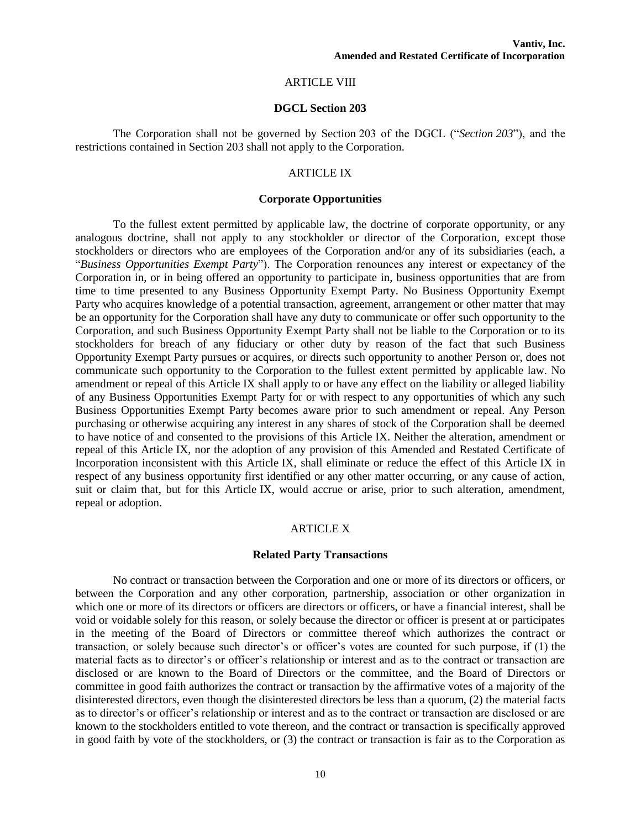## ARTICLE VIII

#### **DGCL Section 203**

The Corporation shall not be governed by Section 203 of the DGCL ("*Section 203*"), and the restrictions contained in Section 203 shall not apply to the Corporation.

## ARTICLE IX

#### **Corporate Opportunities**

To the fullest extent permitted by applicable law, the doctrine of corporate opportunity, or any analogous doctrine, shall not apply to any stockholder or director of the Corporation, except those stockholders or directors who are employees of the Corporation and/or any of its subsidiaries (each, a "*Business Opportunities Exempt Party*"). The Corporation renounces any interest or expectancy of the Corporation in, or in being offered an opportunity to participate in, business opportunities that are from time to time presented to any Business Opportunity Exempt Party. No Business Opportunity Exempt Party who acquires knowledge of a potential transaction, agreement, arrangement or other matter that may be an opportunity for the Corporation shall have any duty to communicate or offer such opportunity to the Corporation, and such Business Opportunity Exempt Party shall not be liable to the Corporation or to its stockholders for breach of any fiduciary or other duty by reason of the fact that such Business Opportunity Exempt Party pursues or acquires, or directs such opportunity to another Person or, does not communicate such opportunity to the Corporation to the fullest extent permitted by applicable law. No amendment or repeal of this Article IX shall apply to or have any effect on the liability or alleged liability of any Business Opportunities Exempt Party for or with respect to any opportunities of which any such Business Opportunities Exempt Party becomes aware prior to such amendment or repeal. Any Person purchasing or otherwise acquiring any interest in any shares of stock of the Corporation shall be deemed to have notice of and consented to the provisions of this Article IX. Neither the alteration, amendment or repeal of this Article IX, nor the adoption of any provision of this Amended and Restated Certificate of Incorporation inconsistent with this Article IX, shall eliminate or reduce the effect of this Article IX in respect of any business opportunity first identified or any other matter occurring, or any cause of action, suit or claim that, but for this Article IX, would accrue or arise, prior to such alteration, amendment, repeal or adoption.

#### ARTICLE X

#### **Related Party Transactions**

No contract or transaction between the Corporation and one or more of its directors or officers, or between the Corporation and any other corporation, partnership, association or other organization in which one or more of its directors or officers are directors or officers, or have a financial interest, shall be void or voidable solely for this reason, or solely because the director or officer is present at or participates in the meeting of the Board of Directors or committee thereof which authorizes the contract or transaction, or solely because such director's or officer's votes are counted for such purpose, if (1) the material facts as to director's or officer's relationship or interest and as to the contract or transaction are disclosed or are known to the Board of Directors or the committee, and the Board of Directors or committee in good faith authorizes the contract or transaction by the affirmative votes of a majority of the disinterested directors, even though the disinterested directors be less than a quorum, (2) the material facts as to director's or officer's relationship or interest and as to the contract or transaction are disclosed or are known to the stockholders entitled to vote thereon, and the contract or transaction is specifically approved in good faith by vote of the stockholders, or (3) the contract or transaction is fair as to the Corporation as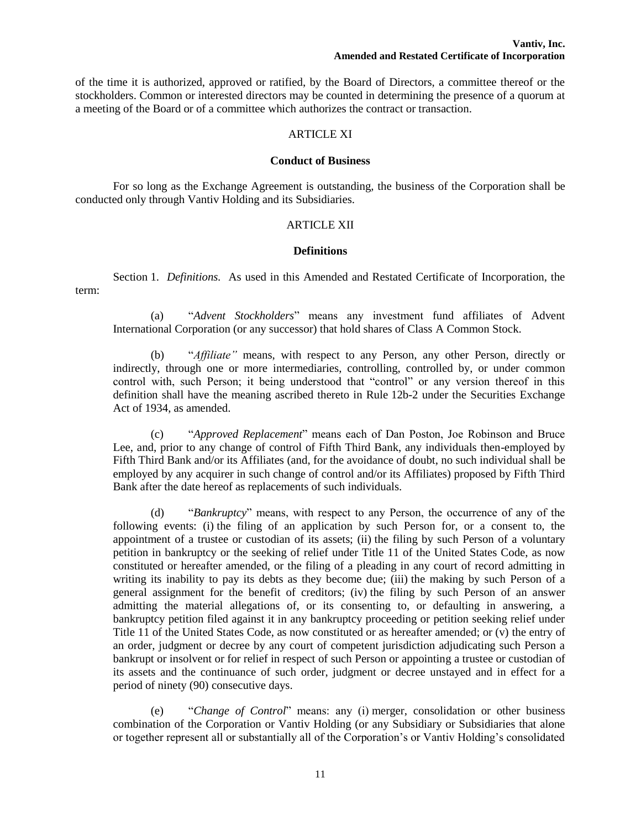of the time it is authorized, approved or ratified, by the Board of Directors, a committee thereof or the stockholders. Common or interested directors may be counted in determining the presence of a quorum at a meeting of the Board or of a committee which authorizes the contract or transaction.

## ARTICLE XI

### **Conduct of Business**

For so long as the Exchange Agreement is outstanding, the business of the Corporation shall be conducted only through Vantiv Holding and its Subsidiaries.

## ARTICLE XII

## **Definitions**

Section 1. *Definitions.* As used in this Amended and Restated Certificate of Incorporation, the term:

(a) "*Advent Stockholders*" means any investment fund affiliates of Advent International Corporation (or any successor) that hold shares of Class A Common Stock.

(b) "*Affiliate"* means, with respect to any Person, any other Person, directly or indirectly, through one or more intermediaries, controlling, controlled by, or under common control with, such Person; it being understood that "control" or any version thereof in this definition shall have the meaning ascribed thereto in Rule 12b-2 under the Securities Exchange Act of 1934, as amended.

(c) "*Approved Replacement*" means each of Dan Poston, Joe Robinson and Bruce Lee, and, prior to any change of control of Fifth Third Bank, any individuals then-employed by Fifth Third Bank and/or its Affiliates (and, for the avoidance of doubt, no such individual shall be employed by any acquirer in such change of control and/or its Affiliates) proposed by Fifth Third Bank after the date hereof as replacements of such individuals.

(d) "*Bankruptcy*" means, with respect to any Person, the occurrence of any of the following events: (i) the filing of an application by such Person for, or a consent to, the appointment of a trustee or custodian of its assets; (ii) the filing by such Person of a voluntary petition in bankruptcy or the seeking of relief under Title 11 of the United States Code, as now constituted or hereafter amended, or the filing of a pleading in any court of record admitting in writing its inability to pay its debts as they become due; (iii) the making by such Person of a general assignment for the benefit of creditors; (iv) the filing by such Person of an answer admitting the material allegations of, or its consenting to, or defaulting in answering, a bankruptcy petition filed against it in any bankruptcy proceeding or petition seeking relief under Title 11 of the United States Code, as now constituted or as hereafter amended; or (v) the entry of an order, judgment or decree by any court of competent jurisdiction adjudicating such Person a bankrupt or insolvent or for relief in respect of such Person or appointing a trustee or custodian of its assets and the continuance of such order, judgment or decree unstayed and in effect for a period of ninety (90) consecutive days.

(e) "*Change of Control*" means: any (i) merger, consolidation or other business combination of the Corporation or Vantiv Holding (or any Subsidiary or Subsidiaries that alone or together represent all or substantially all of the Corporation's or Vantiv Holding's consolidated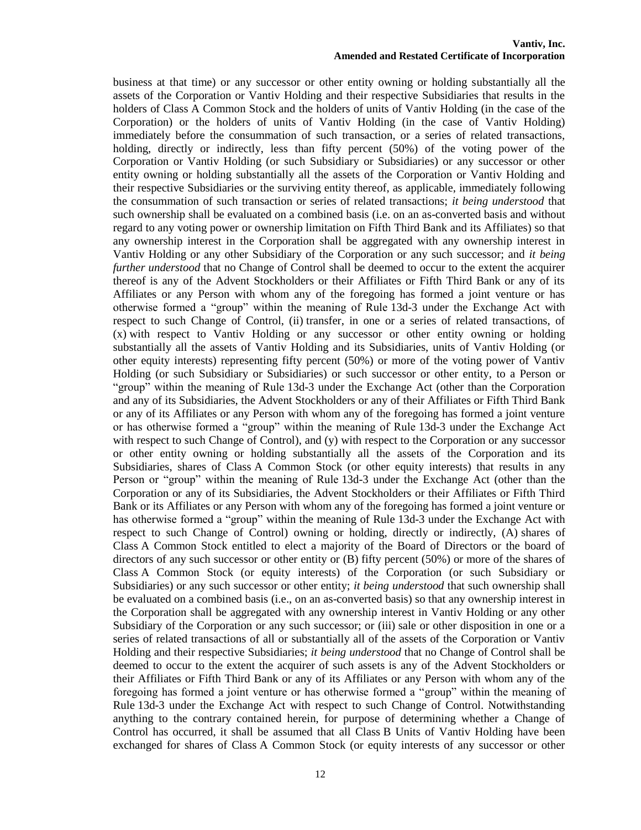#### **Vantiv, Inc. Amended and Restated Certificate of Incorporation**

business at that time) or any successor or other entity owning or holding substantially all the assets of the Corporation or Vantiv Holding and their respective Subsidiaries that results in the holders of Class A Common Stock and the holders of units of Vantiv Holding (in the case of the Corporation) or the holders of units of Vantiv Holding (in the case of Vantiv Holding) immediately before the consummation of such transaction, or a series of related transactions, holding, directly or indirectly, less than fifty percent (50%) of the voting power of the Corporation or Vantiv Holding (or such Subsidiary or Subsidiaries) or any successor or other entity owning or holding substantially all the assets of the Corporation or Vantiv Holding and their respective Subsidiaries or the surviving entity thereof, as applicable, immediately following the consummation of such transaction or series of related transactions; *it being understood* that such ownership shall be evaluated on a combined basis (i.e. on an as-converted basis and without regard to any voting power or ownership limitation on Fifth Third Bank and its Affiliates) so that any ownership interest in the Corporation shall be aggregated with any ownership interest in Vantiv Holding or any other Subsidiary of the Corporation or any such successor; and *it being further understood* that no Change of Control shall be deemed to occur to the extent the acquirer thereof is any of the Advent Stockholders or their Affiliates or Fifth Third Bank or any of its Affiliates or any Person with whom any of the foregoing has formed a joint venture or has otherwise formed a "group" within the meaning of Rule 13d-3 under the Exchange Act with respect to such Change of Control, (ii) transfer, in one or a series of related transactions, of (x) with respect to Vantiv Holding or any successor or other entity owning or holding substantially all the assets of Vantiv Holding and its Subsidiaries, units of Vantiv Holding (or other equity interests) representing fifty percent (50%) or more of the voting power of Vantiv Holding (or such Subsidiary or Subsidiaries) or such successor or other entity, to a Person or "group" within the meaning of Rule 13d-3 under the Exchange Act (other than the Corporation and any of its Subsidiaries, the Advent Stockholders or any of their Affiliates or Fifth Third Bank or any of its Affiliates or any Person with whom any of the foregoing has formed a joint venture or has otherwise formed a "group" within the meaning of Rule 13d-3 under the Exchange Act with respect to such Change of Control), and (y) with respect to the Corporation or any successor or other entity owning or holding substantially all the assets of the Corporation and its Subsidiaries, shares of Class A Common Stock (or other equity interests) that results in any Person or "group" within the meaning of Rule 13d-3 under the Exchange Act (other than the Corporation or any of its Subsidiaries, the Advent Stockholders or their Affiliates or Fifth Third Bank or its Affiliates or any Person with whom any of the foregoing has formed a joint venture or has otherwise formed a "group" within the meaning of Rule 13d-3 under the Exchange Act with respect to such Change of Control) owning or holding, directly or indirectly, (A) shares of Class A Common Stock entitled to elect a majority of the Board of Directors or the board of directors of any such successor or other entity or (B) fifty percent (50%) or more of the shares of Class A Common Stock (or equity interests) of the Corporation (or such Subsidiary or Subsidiaries) or any such successor or other entity; *it being understood* that such ownership shall be evaluated on a combined basis (i.e., on an as-converted basis) so that any ownership interest in the Corporation shall be aggregated with any ownership interest in Vantiv Holding or any other Subsidiary of the Corporation or any such successor; or (iii) sale or other disposition in one or a series of related transactions of all or substantially all of the assets of the Corporation or Vantiv Holding and their respective Subsidiaries; *it being understood* that no Change of Control shall be deemed to occur to the extent the acquirer of such assets is any of the Advent Stockholders or their Affiliates or Fifth Third Bank or any of its Affiliates or any Person with whom any of the foregoing has formed a joint venture or has otherwise formed a "group" within the meaning of Rule 13d-3 under the Exchange Act with respect to such Change of Control. Notwithstanding anything to the contrary contained herein, for purpose of determining whether a Change of Control has occurred, it shall be assumed that all Class B Units of Vantiv Holding have been exchanged for shares of Class A Common Stock (or equity interests of any successor or other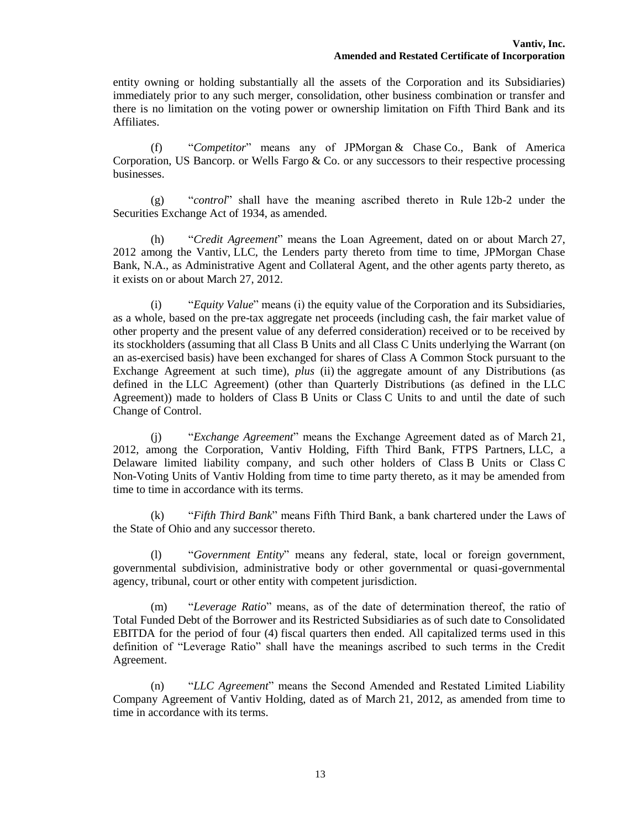entity owning or holding substantially all the assets of the Corporation and its Subsidiaries) immediately prior to any such merger, consolidation, other business combination or transfer and there is no limitation on the voting power or ownership limitation on Fifth Third Bank and its Affiliates.

(f) "*Competitor*" means any of JPMorgan & Chase Co., Bank of America Corporation, US Bancorp. or Wells Fargo & Co. or any successors to their respective processing businesses.

(g) "*control*" shall have the meaning ascribed thereto in Rule 12b-2 under the Securities Exchange Act of 1934, as amended.

(h) "*Credit Agreement*" means the Loan Agreement, dated on or about March 27, 2012 among the Vantiv, LLC, the Lenders party thereto from time to time, JPMorgan Chase Bank, N.A., as Administrative Agent and Collateral Agent, and the other agents party thereto, as it exists on or about March 27, 2012.

(i) "*Equity Value*" means (i) the equity value of the Corporation and its Subsidiaries, as a whole, based on the pre-tax aggregate net proceeds (including cash, the fair market value of other property and the present value of any deferred consideration) received or to be received by its stockholders (assuming that all Class B Units and all Class C Units underlying the Warrant (on an as-exercised basis) have been exchanged for shares of Class A Common Stock pursuant to the Exchange Agreement at such time), *plus* (ii) the aggregate amount of any Distributions (as defined in the LLC Agreement) (other than Quarterly Distributions (as defined in the LLC Agreement)) made to holders of Class B Units or Class C Units to and until the date of such Change of Control.

(j) "*Exchange Agreement*" means the Exchange Agreement dated as of March 21, 2012, among the Corporation, Vantiv Holding, Fifth Third Bank, FTPS Partners, LLC, a Delaware limited liability company, and such other holders of Class B Units or Class C Non-Voting Units of Vantiv Holding from time to time party thereto, as it may be amended from time to time in accordance with its terms.

(k) "*Fifth Third Bank*" means Fifth Third Bank, a bank chartered under the Laws of the State of Ohio and any successor thereto.

(l) "*Government Entity*" means any federal, state, local or foreign government, governmental subdivision, administrative body or other governmental or quasi-governmental agency, tribunal, court or other entity with competent jurisdiction.

(m) "*Leverage Ratio*" means, as of the date of determination thereof, the ratio of Total Funded Debt of the Borrower and its Restricted Subsidiaries as of such date to Consolidated EBITDA for the period of four (4) fiscal quarters then ended. All capitalized terms used in this definition of "Leverage Ratio" shall have the meanings ascribed to such terms in the Credit Agreement.

(n) "*LLC Agreement*" means the Second Amended and Restated Limited Liability Company Agreement of Vantiv Holding, dated as of March 21, 2012, as amended from time to time in accordance with its terms.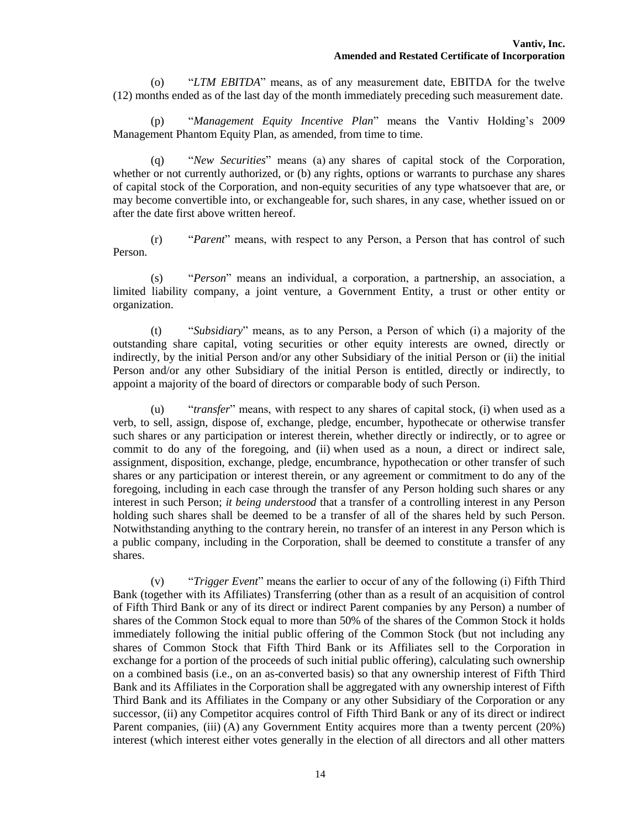(o) "*LTM EBITDA*" means, as of any measurement date, EBITDA for the twelve (12) months ended as of the last day of the month immediately preceding such measurement date.

(p) "*Management Equity Incentive Plan*" means the Vantiv Holding's 2009 Management Phantom Equity Plan, as amended, from time to time.

(q) "*New Securities*" means (a) any shares of capital stock of the Corporation, whether or not currently authorized, or (b) any rights, options or warrants to purchase any shares of capital stock of the Corporation, and non-equity securities of any type whatsoever that are, or may become convertible into, or exchangeable for, such shares, in any case, whether issued on or after the date first above written hereof.

(r) "*Parent*" means, with respect to any Person, a Person that has control of such Person.

(s) "*Person*" means an individual, a corporation, a partnership, an association, a limited liability company, a joint venture, a Government Entity, a trust or other entity or organization.

(t) "*Subsidiary*" means, as to any Person, a Person of which (i) a majority of the outstanding share capital, voting securities or other equity interests are owned, directly or indirectly, by the initial Person and/or any other Subsidiary of the initial Person or (ii) the initial Person and/or any other Subsidiary of the initial Person is entitled, directly or indirectly, to appoint a majority of the board of directors or comparable body of such Person.

(u) "*transfer*" means, with respect to any shares of capital stock, (i) when used as a verb, to sell, assign, dispose of, exchange, pledge, encumber, hypothecate or otherwise transfer such shares or any participation or interest therein, whether directly or indirectly, or to agree or commit to do any of the foregoing, and (ii) when used as a noun, a direct or indirect sale, assignment, disposition, exchange, pledge, encumbrance, hypothecation or other transfer of such shares or any participation or interest therein, or any agreement or commitment to do any of the foregoing, including in each case through the transfer of any Person holding such shares or any interest in such Person; *it being understood* that a transfer of a controlling interest in any Person holding such shares shall be deemed to be a transfer of all of the shares held by such Person. Notwithstanding anything to the contrary herein, no transfer of an interest in any Person which is a public company, including in the Corporation, shall be deemed to constitute a transfer of any shares.

(v) "*Trigger Event*" means the earlier to occur of any of the following (i) Fifth Third Bank (together with its Affiliates) Transferring (other than as a result of an acquisition of control of Fifth Third Bank or any of its direct or indirect Parent companies by any Person) a number of shares of the Common Stock equal to more than 50% of the shares of the Common Stock it holds immediately following the initial public offering of the Common Stock (but not including any shares of Common Stock that Fifth Third Bank or its Affiliates sell to the Corporation in exchange for a portion of the proceeds of such initial public offering), calculating such ownership on a combined basis (i.e., on an as-converted basis) so that any ownership interest of Fifth Third Bank and its Affiliates in the Corporation shall be aggregated with any ownership interest of Fifth Third Bank and its Affiliates in the Company or any other Subsidiary of the Corporation or any successor, (ii) any Competitor acquires control of Fifth Third Bank or any of its direct or indirect Parent companies, (iii) (A) any Government Entity acquires more than a twenty percent (20%) interest (which interest either votes generally in the election of all directors and all other matters